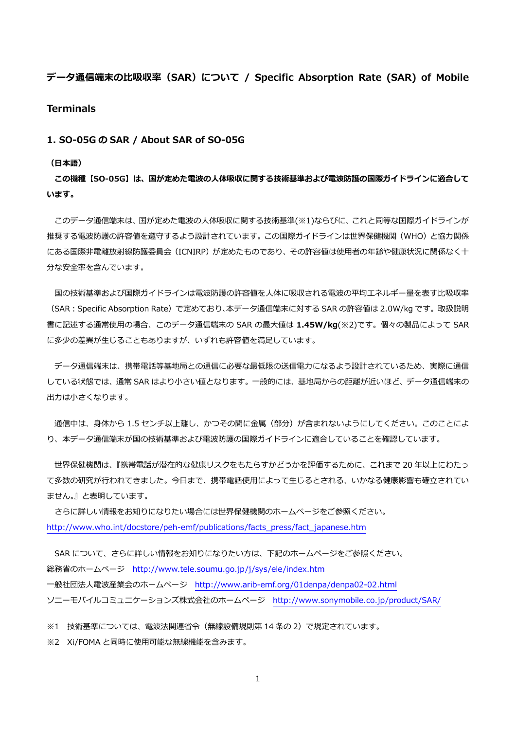# **データ通信端末の⽐吸収率(SAR)について / Specific Absorption Rate (SAR) of Mobile**

# **Terminals**

## **1. SO-05G の SAR / About SAR of SO-05G**

#### **(⽇本語)**

**この機種【SO-05G】は、国が定めた電波の⼈体吸収に関する技術基準および電波防護の国際ガイドラインに適合して います。** 

 このデータ通信端末は、国が定めた電波の⼈体吸収に関する技術基準(※1)ならびに、これと同等な国際ガイドラインが 推奨する電波防護の許容値を遵守するよう設計されています。この国際ガイドラインは世界保健機関(WHO)と協力関係 にある国際非電離放射線防護委員会(ICNIRP)が定めたものであり、その許容値は使用者の年齢や健康状況に関係なく十 分な安全率を含んでいます。

国の技術基準および国際ガイドラインは電波防護の許容値を人体に吸収される電波の平均エネルギー量を表す比吸収率 (SAR:Specific Absorption Rate)で定めており、本データ通信端末に対する SAR の許容値は 2.0W/kg です。取扱説明 書に記述する通常使⽤の場合、このデータ通信端末の SAR の最⼤値は **1.45W/kg**(※2)です。個々の製品によって SAR に多少の差異が生じることもありますが、いずれも許容値を満足しています。

 データ通信端末は、携帯電話等基地局との通信に必要な最低限の送信電⼒になるよう設計されているため、実際に通信 している状態では、通常 SAR はより⼩さい値となります。⼀般的には、基地局からの距離が近いほど、データ通信端末の 出力は小さくなります。

通信中は、身体から 1.5 センチ以上離し、かつその間に金属 (部分) が含まれないようにしてください。このことによ り、本データ通信端末が国の技術基準および電波防護の国際ガイドラインに適合していることを確認しています。

 世界保健機関は、『携帯電話が潜在的な健康リスクをもたらすかどうかを評価するために、これまで 20 年以上にわたっ て多数の研究が行われてきました。今日まで、携帯電話使用によって生じるとされる、いかなる健康影響も確立されてい ません。』と表明しています。

 さらに詳しい情報をお知りになりたい場合には世界保健機関のホームページをご参照ください。 http://www.who.int/docstore/peh-emf/publications/facts\_press/fact\_japanese.htm

SAR について、さらに詳しい情報をお知りになりたい方は、下記のホームページをご参照ください。 総務省のホームページ http://www.tele.soumu.go.jp/j/sys/ele/index.htm ⼀般社団法⼈電波産業会のホームページ http://www.arib-emf.org/01denpa/denpa02-02.html ソニーモバイルコミュニケーションズ株式会社のホームページ http://www.sonymobile.co.jp/product/SAR/

※1 技術基準については、電波法関連省令(無線設備規則第 14 条の 2)で規定されています。

※2 Xi/FOMA と同時に使用可能な無線機能を含みます。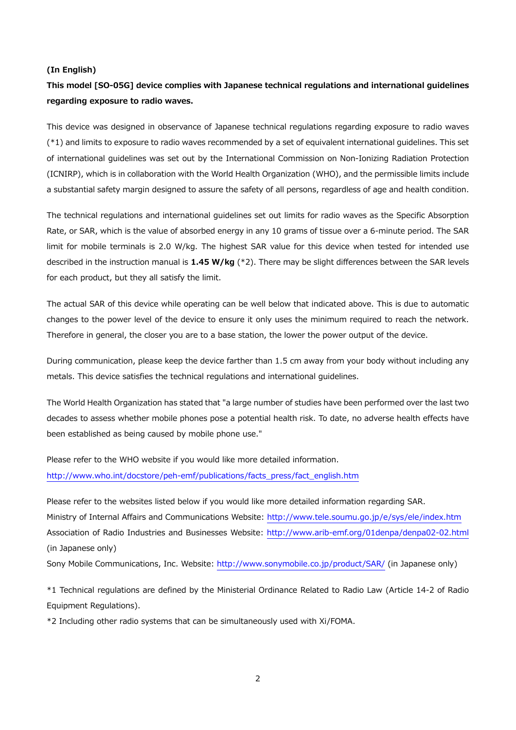#### **(In English)**

# **This model [SO-05G] device complies with Japanese technical regulations and international guidelines regarding exposure to radio waves.**

This device was designed in observance of Japanese technical regulations regarding exposure to radio waves (\*1) and limits to exposure to radio waves recommended by a set of equivalent international guidelines. This set of international guidelines was set out by the International Commission on Non-Ionizing Radiation Protection (ICNIRP), which is in collaboration with the World Health Organization (WHO), and the permissible limits include a substantial safety margin designed to assure the safety of all persons, regardless of age and health condition.

The technical regulations and international guidelines set out limits for radio waves as the Specific Absorption Rate, or SAR, which is the value of absorbed energy in any 10 grams of tissue over a 6-minute period. The SAR limit for mobile terminals is 2.0 W/kg. The highest SAR value for this device when tested for intended use described in the instruction manual is **1.45 W/kg** (\*2). There may be slight differences between the SAR levels for each product, but they all satisfy the limit.

The actual SAR of this device while operating can be well below that indicated above. This is due to automatic changes to the power level of the device to ensure it only uses the minimum required to reach the network. Therefore in general, the closer you are to a base station, the lower the power output of the device.

During communication, please keep the device farther than 1.5 cm away from your body without including any metals. This device satisfies the technical regulations and international guidelines.

The World Health Organization has stated that "a large number of studies have been performed over the last two decades to assess whether mobile phones pose a potential health risk. To date, no adverse health effects have been established as being caused by mobile phone use."

Please refer to the WHO website if you would like more detailed information. http://www.who.int/docstore/peh-emf/publications/facts\_press/fact\_english.htm

Please refer to the websites listed below if you would like more detailed information regarding SAR. Ministry of Internal Affairs and Communications Website: http://www.tele.soumu.go.jp/e/sys/ele/index.htm Association of Radio Industries and Businesses Website: http://www.arib-emf.org/01denpa/denpa02-02.html (in Japanese only)

Sony Mobile Communications, Inc. Website: http://www.sonymobile.co.jp/product/SAR/ (in Japanese only)

\*1 Technical regulations are defined by the Ministerial Ordinance Related to Radio Law (Article 14-2 of Radio Equipment Regulations).

\*2 Including other radio systems that can be simultaneously used with Xi/FOMA.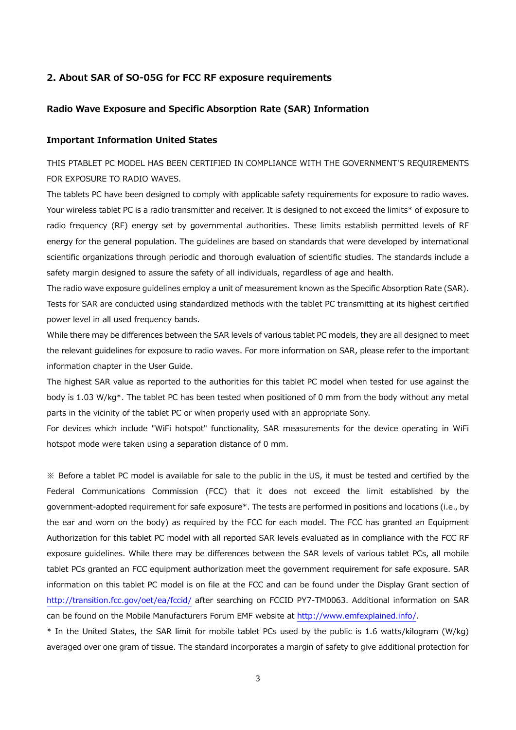## **2. About SAR of SO-05G for FCC RF exposure requirements**

# **Radio Wave Exposure and Specific Absorption Rate (SAR) Information**

## **Important Information United States**

THIS PTABLET PC MODEL HAS BEEN CERTIFIED IN COMPLIANCE WITH THE GOVERNMENT'S REQUIREMENTS FOR EXPOSURE TO RADIO WAVES.

The tablets PC have been designed to comply with applicable safety requirements for exposure to radio waves. Your wireless tablet PC is a radio transmitter and receiver. It is designed to not exceed the limits\* of exposure to radio frequency (RF) energy set by governmental authorities. These limits establish permitted levels of RF energy for the general population. The guidelines are based on standards that were developed by international scientific organizations through periodic and thorough evaluation of scientific studies. The standards include a safety margin designed to assure the safety of all individuals, regardless of age and health.

The radio wave exposure guidelines employ a unit of measurement known as the Specific Absorption Rate (SAR). Tests for SAR are conducted using standardized methods with the tablet PC transmitting at its highest certified power level in all used frequency bands.

While there may be differences between the SAR levels of various tablet PC models, they are all designed to meet the relevant guidelines for exposure to radio waves. For more information on SAR, please refer to the important information chapter in the User Guide.

The highest SAR value as reported to the authorities for this tablet PC model when tested for use against the body is 1.03 W/kg\*. The tablet PC has been tested when positioned of 0 mm from the body without any metal parts in the vicinity of the tablet PC or when properly used with an appropriate Sony.

For devices which include "WiFi hotspot" functionality, SAR measurements for the device operating in WiFi hotspot mode were taken using a separation distance of 0 mm.

※ Before a tablet PC model is available for sale to the public in the US, it must be tested and certified by the Federal Communications Commission (FCC) that it does not exceed the limit established by the government-adopted requirement for safe exposure\*. The tests are performed in positions and locations (i.e., by the ear and worn on the body) as required by the FCC for each model. The FCC has granted an Equipment Authorization for this tablet PC model with all reported SAR levels evaluated as in compliance with the FCC RF exposure guidelines. While there may be differences between the SAR levels of various tablet PCs, all mobile tablet PCs granted an FCC equipment authorization meet the government requirement for safe exposure. SAR information on this tablet PC model is on file at the FCC and can be found under the Display Grant section of http://transition.fcc.gov/oet/ea/fccid/ after searching on FCCID PY7-TM0063. Additional information on SAR can be found on the Mobile Manufacturers Forum EMF website at http://www.emfexplained.info/.

\* In the United States, the SAR limit for mobile tablet PCs used by the public is 1.6 watts/kilogram (W/kg) averaged over one gram of tissue. The standard incorporates a margin of safety to give additional protection for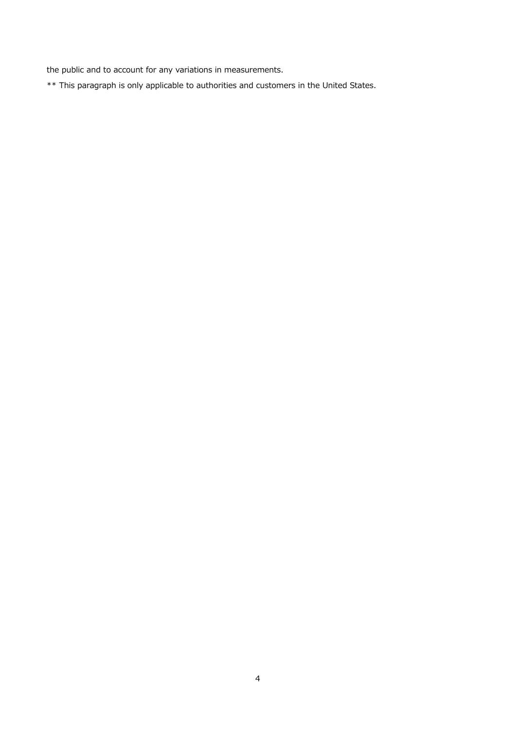the public and to account for any variations in measurements.

\*\* This paragraph is only applicable to authorities and customers in the United States.